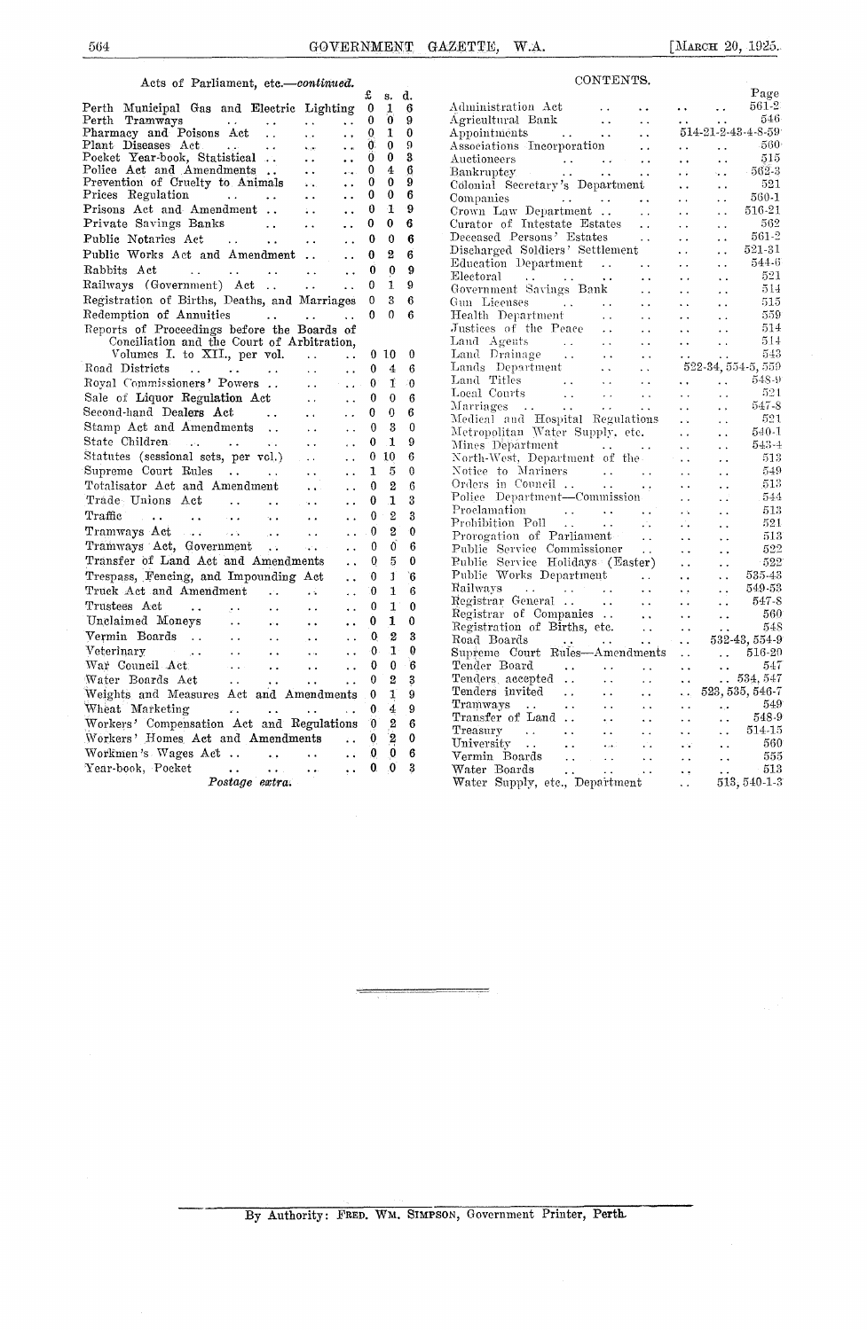## Acts of Parliament, etc.-continued.

| Acts of rarmament, etc.<br>—oonvaava.                                                                                                                                                                   |                      | £            |                      | d. |
|---------------------------------------------------------------------------------------------------------------------------------------------------------------------------------------------------------|----------------------|--------------|----------------------|----|
| Perth Municipal Gas and Electric Lighting                                                                                                                                                               |                      | 0            | s.<br>1              | 6  |
| Perth Tramways<br>Ω.                                                                                                                                                                                    | ٠.                   | 0            | 0                    | 9  |
| Pharmacy and Poisons Act<br>$\ddot{\phantom{a}}$ .<br>i.                                                                                                                                                | . .                  | 0            | 1                    | 0  |
| Plant Diseases Act<br><b>Contractor</b><br>$\sim$ $\sim$<br>العرابة                                                                                                                                     | $\ddot{\phantom{a}}$ | Ò.           | 0                    | Ö, |
| Pocket Year-book, Statistical<br>$\ddot{\phantom{0}}$                                                                                                                                                   | . .                  | $\mathbf{0}$ | 0                    | 3. |
| Police Act and Amendments<br>$\ddot{\phantom{a}}$                                                                                                                                                       | $\cdots$             | 0            | 4                    | 6  |
| Prevention of Cruelty to Animals<br>$\Delta\Delta_{\rm{eff}}$                                                                                                                                           |                      | 0            | 0                    | 9  |
| Prices Regulation<br>$\cdots$<br>$\sim 100$ km s $^{-1}$                                                                                                                                                |                      | 0            | 0                    | 6  |
| Prisons Act and Amendment<br>έä.                                                                                                                                                                        | $\ddot{\phantom{a}}$ | 0            | 1                    | 9  |
| Private Savings Banks<br>$\ddot{\phantom{0}}$                                                                                                                                                           |                      | 0            | $\bf{0}$             | 6  |
| Public Notaries Act<br>$\sim 10^{11}$ and $\sim 10^{11}$<br>$\ddot{\phantom{0}}$                                                                                                                        |                      | 0            | 0                    | 6  |
| Public Works Act and Amendment                                                                                                                                                                          |                      | 0            | $\overline{2}$       | 6  |
| Rabbits Act<br>$\ddot{\phantom{1}}$<br>$\sim$ $\sim$                                                                                                                                                    | $\ddot{\phantom{a}}$ | 0            | $\bf{0}$             | 9  |
| Railways (Government) Act<br>$\ddot{\phantom{0}}$                                                                                                                                                       | $\ddot{\phantom{a}}$ | 0            | 1                    | 9  |
| Registration of Births, Deaths, and Marriages                                                                                                                                                           |                      | 0            | 3                    | 6  |
| Redemption of Annuities                                                                                                                                                                                 |                      | 0            | 0                    | 6  |
| Reports of Proceedings before the Boards of                                                                                                                                                             |                      |              |                      |    |
| Conciliation and the Court of Arbitration,                                                                                                                                                              |                      |              |                      |    |
| Volumes I. to XII., per vol.<br>$\sim 100$ km s $^{-1}$                                                                                                                                                 |                      | 0            | 10                   | 0  |
| Road Districts<br>$\mathcal{L}(\mathbf{z},\mathbf{z})$ . The second constant $\mathcal{L}(\mathbf{z},\mathbf{z})$<br>$\mathbf{r}$                                                                       | $\ddot{\phantom{a}}$ | 0            | 4                    | 6  |
| Royal Commissioners' Powers<br>$\ddot{\phantom{a}}$                                                                                                                                                     | $\ddot{\phantom{0}}$ | 0.           | 1                    | -0 |
| Sale of Liquor Regulation Act<br>$\ddot{\phantom{a}}$                                                                                                                                                   | $\ddot{\phantom{0}}$ | 0            | 0                    | 6  |
| Second-hand Dealers Act<br>$\sim 100$ km s $^{-1}$<br>$\sim 10^{-1}$                                                                                                                                    | $\ddot{\phantom{0}}$ | 0            | 0                    | 6  |
| Stamp Act and Amendments                                                                                                                                                                                |                      | $\theta$     | 3                    | 0  |
| $\ddot{\phantom{0}}$<br>State Children                                                                                                                                                                  |                      | 0            | 1                    | 9  |
| $\mathcal{L}(\mathbf{x})$<br><b><i>Contractor</i></b><br>$\ddotsc$                                                                                                                                      |                      |              |                      |    |
| Statutes (sessional sets, per vol.)<br>$\sim 100$ km s $^{-1}$                                                                                                                                          | $\ddot{\phantom{a}}$ | 0            | 10                   | 6  |
| Supreme Court Rules<br>$\ddotsc$                                                                                                                                                                        |                      | 1            | 5                    | 0  |
| Totalisator Act and Amendment<br>$\mathbf{r} \in \mathbb{R}^{d \times d}$                                                                                                                               |                      | $\Omega$     | 2                    | 6  |
| Trade Unions Act<br>$\sim 100$<br>$\sim 10^{-1}$<br>$\mathbf{M}$ , and                                                                                                                                  |                      | 0            | 1                    | 3  |
| للمراد المقدار المقار<br>Traffic<br>$\mathcal{L}_{\mathrm{c}}$<br>$\ddot{\phantom{a}}$<br>$\sim 10^{-1}$                                                                                                | . .                  | 0            | $\mathbf{2}$         | 3  |
| Tramways Act<br>$\sim 10^{-1}$                                                                                                                                                                          |                      | 0            | 2                    | 0  |
| Tramways Act<br>Tramways Act, Government<br>$\sim 10^{11}$ km $^{-1}$                                                                                                                                   |                      | 0            | 0                    | 6  |
| Transfer of Land Act and Amendments                                                                                                                                                                     |                      | 0            | 5                    | 0  |
| Trespass, Fencing, and Impounding Act                                                                                                                                                                   | $\ddot{\phantom{1}}$ | 0            | 1                    | `6 |
| Truck Act and Amendment<br>$\mathcal{L}^{\mathcal{L}}$ .<br>$\mathbf{z} \in \mathbb{R}$                                                                                                                 | $\ddot{\phantom{0}}$ | 0            | 1                    | 6  |
| Trustees Act<br>$\ddot{\phantom{0}}$<br>$\ddot{\phantom{a}}$                                                                                                                                            | $\ddot{\phantom{0}}$ | 0            | $1^{\circ}$          | 0  |
| $\mathbf{y}(\mathbf{z})$ .<br>Unclaimed Moneys<br>$\sim 100$ km s $^{-1}$                                                                                                                               | $\ddot{\phantom{0}}$ | 0            | 1                    | 0  |
| é.<br>$\ddot{\phantom{0}}$                                                                                                                                                                              |                      |              | $\overline{2}$       | 3  |
| Vermin Boards<br>$\ddot{\phantom{a}}$<br>$\ddot{\phantom{1}}$                                                                                                                                           | . .                  | 0            | $\mathbf{T}$         | 0  |
| Veterinary<br>$\mathcal{L}^{\text{max}}_{\text{max}}$<br>$\sim 10^{-1}$<br>$\ddot{\phantom{0}}$<br>$\sim 10^{-11}$                                                                                      | $\ddot{\phantom{a}}$ | 0            |                      |    |
| War Council Act<br>$\mathcal{L}_{\bullet}(\mathbf{x},\mathbf{y})$ .<br>$\sim 10^{-1}$<br>$\ddot{\phantom{0}}$                                                                                           | $\ddot{\phantom{a}}$ | 0            | 0                    | 6  |
| Water Boards Act<br>$\sim 10^{-11}$<br>$\ddot{\phantom{0}}$<br>$\ddot{\phantom{a}}$                                                                                                                     |                      | 0            | $\overline{2}$       | 3  |
| Weights and Measures Act and Amendments                                                                                                                                                                 |                      | 0            | $\mathbf{1}^{\circ}$ | 9  |
| Wheat Marketing<br>$\mathcal{L}^{\mathcal{L}}$ and $\mathcal{L}^{\mathcal{L}}$ and $\mathcal{L}^{\mathcal{L}}$ and $\mathcal{L}^{\mathcal{L}}$<br>$\mathbf{A}$ and $\mathbf{A}$<br>$\ddot{\phantom{a}}$ | $\ddot{\phantom{0}}$ | $\mathbf{0}$ | 4                    | 9  |
| Workers' Compensation Act and Regulations                                                                                                                                                               |                      | 0            | 2                    | 6  |
| Workers' Homes Act and Amendments                                                                                                                                                                       |                      | 0            | 2                    | 0  |
| Workmen's Wages Act<br>$\sim 100$ km s $^{-1}$<br>$\ddot{\phantom{a}}$                                                                                                                                  | $\ddot{\phantom{0}}$ | 0            | 0                    | 6  |
| Year-book, Pocket<br>$\bullet$ $\bullet$ $\sim$ $ \circ$<br>$\cdots$<br>$\ddot{\phantom{0}}$                                                                                                            | . .                  | 0.           | 0                    | 3  |
| Postage extra.                                                                                                                                                                                          |                      |              |                      |    |
|                                                                                                                                                                                                         |                      |              |                      |    |

| CONTENTS.                                                                                                                                                                                                                              |                                              |               |
|----------------------------------------------------------------------------------------------------------------------------------------------------------------------------------------------------------------------------------------|----------------------------------------------|---------------|
|                                                                                                                                                                                                                                        |                                              | Page          |
| Administration Act                                                                                                                                                                                                                     | $\sim 10^{-1}$                               | 561-2         |
| Aammistration Act<br>Agricultural Bank<br>Appointments<br>According to the contract of the contract of the contract of the contract of the contract of the contract of the contract of the contract of the contract of the contract of | een<br>een<br>$\ddotsc$                      | 546           |
|                                                                                                                                                                                                                                        | 514-21-2-43-4-8-59                           |               |
| Associations Incorporation                                                                                                                                                                                                             | . .<br>$\sim$                                | -560-         |
| Auctioneers                                                                                                                                                                                                                            | $\ddot{\phantom{0}}$<br>. .                  | 515           |
| معان العقا<br>الحقائي العقائي<br>Bankruptcy<br>. .                                                                                                                                                                                     | $\ddot{\phantom{a}}$                         | $-562-3$      |
| Colonial Secretary's Department                                                                                                                                                                                                        | . .                                          | 521           |
| Companies                                                                                                                                                                                                                              |                                              | 560-1         |
| $\sim$ 100 $\pm$<br>$\sim$ .<br>Crown Law Department                                                                                                                                                                                   | . .<br>$\ddot{\phantom{1}}$                  | 516-21        |
| $\ddot{\phantom{a}}$                                                                                                                                                                                                                   | . .                                          | 562           |
| Curator of Intestate Estates<br>$\ddot{\phantom{a}}$                                                                                                                                                                                   | i.                                           |               |
| Deceased Persons' Estates                                                                                                                                                                                                              | $\ddot{\phantom{a}}$                         | 561-2         |
| Discharged Soldiers' Settlement                                                                                                                                                                                                        |                                              | 521-31        |
| Education Department<br>$\sim$                                                                                                                                                                                                         | $\ddot{\phantom{0}}$                         | 544-6         |
| Electoral<br>Electoral<br>Government Savings Bank<br>$\ddotsc$                                                                                                                                                                         |                                              | 521           |
| $\ddot{\phantom{0}}$                                                                                                                                                                                                                   | $\ddot{\phantom{0}}$<br>$\ddot{\phantom{0}}$ | 514           |
| Gun Licenses<br>and a state of the                                                                                                                                                                                                     |                                              | 515           |
| Health Department<br>$\sim$ .                                                                                                                                                                                                          |                                              | 559           |
| Justices of the Peace $\ldots$<br>$\sim$                                                                                                                                                                                               | $\ddot{\phantom{0}}$                         | 514           |
| $\sim 10$                                                                                                                                                                                                                              |                                              | 514           |
| Land Agents<br>Land Drainage<br>$\ddot{\phantom{0}}$                                                                                                                                                                                   |                                              | 543           |
| $\frac{1}{2}$<br>Lands Department                                                                                                                                                                                                      | $\epsilon$ .<br>522-34, 554-5, 559           |               |
| $\ddot{\phantom{0}}$<br>Land Titles                                                                                                                                                                                                    |                                              | $548 - 9$     |
|                                                                                                                                                                                                                                        | $\ddot{\phantom{0}}$                         | 521           |
|                                                                                                                                                                                                                                        | $\ddot{\phantom{0}}$                         |               |
|                                                                                                                                                                                                                                        |                                              | 547-8         |
| Medical and Hospital Regulations                                                                                                                                                                                                       | $\sim$<br>$\ddot{\phantom{a}}$               | 521           |
| Metropolitan Water Supply, etc.                                                                                                                                                                                                        |                                              | 540-1         |
| Mines Department<br>Mines Department<br>North-West, Department of the                                                                                                                                                                  | $\ddot{\phantom{0}}$<br>έ.                   | $543 - 4$     |
|                                                                                                                                                                                                                                        | $\ddot{\phantom{0}}$                         | 513           |
| Notice to Mariners                                                                                                                                                                                                                     | $\ddot{\phantom{0}}$                         | 549           |
| Notice to Mariners<br>Orders in Council                                                                                                                                                                                                |                                              | 513           |
| Police Department-Commission                                                                                                                                                                                                           |                                              | 544           |
| Proclamation                                                                                                                                                                                                                           | $\ddotsc$                                    | 513           |
| Proclamation<br>Prohibition Poll                                                                                                                                                                                                       |                                              | 521           |
| Prorogation of Parliament<br>$\sim$ $\sim$                                                                                                                                                                                             |                                              | 513           |
| Public Service Commissioner                                                                                                                                                                                                            | . .                                          | 522           |
| Public Service Holidays (Easter)                                                                                                                                                                                                       |                                              | -522          |
| Public Works Department                                                                                                                                                                                                                | . .                                          | 535-43        |
| $\sim 100$ km s $^{-1}$                                                                                                                                                                                                                | i.                                           |               |
| Railways<br>Railways<br>Registrar General<br>$\ddot{\phantom{0}}$                                                                                                                                                                      | .,                                           | 549-53        |
| $\sim$ .<br>$\ddot{\phantom{a}}$                                                                                                                                                                                                       | $\ddot{\phantom{0}}$<br>$\ddot{\phantom{0}}$ | 547-8         |
| Registrar of Companies<br>Registration of Births, etc.<br>Road Boards<br>Supreme Court Rules—Amendments                                                                                                                                | $\ddot{\phantom{0}}$<br>$\ddotsc$            | 560           |
|                                                                                                                                                                                                                                        | $\ddot{\phantom{1}}$<br>v.                   | 548           |
|                                                                                                                                                                                                                                        | $\ddotsc$                                    | 532-43, 554-9 |
|                                                                                                                                                                                                                                        | $\ddot{\phantom{0}}$                         | $.516-20$     |
| Tender Board<br>$\sim$ .<br>$\ddot{\phantom{a}}$<br>$\ddot{\phantom{a}}$                                                                                                                                                               | $\ddotsc$                                    | 547           |
| Tenders accepted<br>$\ddot{\phantom{0}}$<br>$\ddot{\phantom{0}}$                                                                                                                                                                       | $\ddot{\phantom{1}}$                         | .534,547      |
| Tenders invited<br>$\ddot{\phantom{a}}$<br>$\ddot{\phantom{1}}$                                                                                                                                                                        | 523, 535, 546-7<br>.                         |               |
| Tramways<br>$\ddot{\phantom{a}}$<br>$\ddot{\phantom{0}}$                                                                                                                                                                               | . .<br>$\mathbf{r}$                          | 549           |
| Transfer of Land<br>$\ddot{\phantom{1}}$                                                                                                                                                                                               | $\ddotsc$<br>. .                             | 548-9         |
| $T$ reasury<br>$\sim 10^{-1}$<br>$\sim 10^{-1}$<br>$\ddot{\phantom{1}}$ .<br>$\ddot{\phantom{0}}$                                                                                                                                      | $\ddot{\phantom{a}}$                         | 514-15        |
| University<br>$\ddot{\phantom{a}}$ .<br>$\sim 10^{-1}$                                                                                                                                                                                 | ò.<br>e Si                                   | 560           |
| Vermin Boards                                                                                                                                                                                                                          |                                              | 555           |
| $\sim 10^{-1}$                                                                                                                                                                                                                         | с.                                           | 513           |
| Water Boards<br>Water Supply, etc., Department                                                                                                                                                                                         | $\ddot{\phantom{a}}$ .<br>÷,                 | 513, 540-1-3  |
|                                                                                                                                                                                                                                        |                                              |               |

By Authority: FRED. WM. SIMPSON, Government Printer, Perth.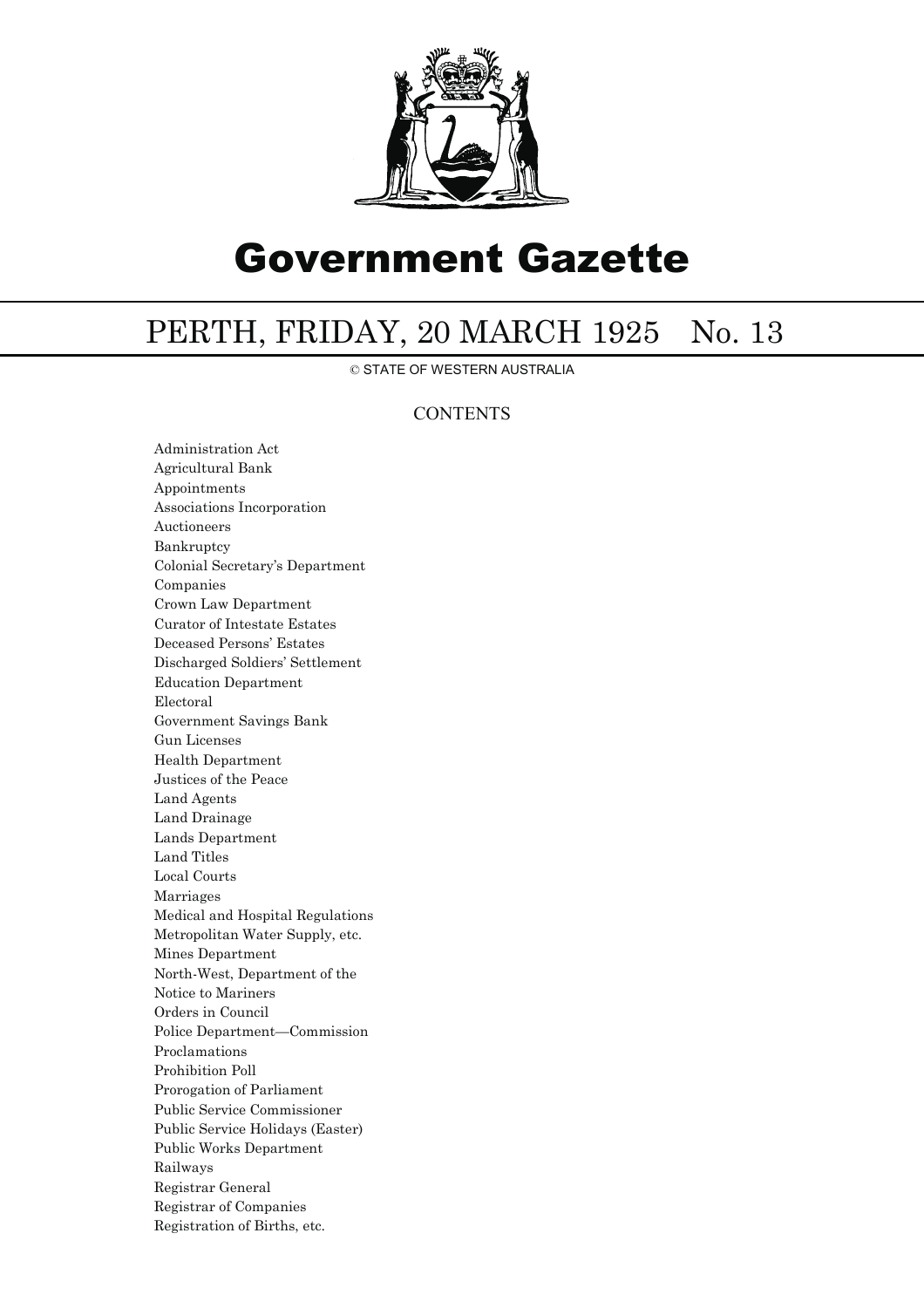

## Government Gazette

## PERTH, FRIDAY, 20 MARCH 1925 No. 13

© STATE OF WESTERN AUSTRALIA

## **CONTENTS**

Administration Act Agricultural Bank Appointments Associations Incorporation Auctioneers Bankruptcy Colonial Secretary's Department Companies Crown Law Department Curator of Intestate Estates Deceased Persons' Estates Discharged Soldiers' Settlement Education Department Electoral Government Savings Bank Gun Licenses Health Department Justices of the Peace Land Agents Land Drainage Lands Department Land Titles Local Courts Marriages Medical and Hospital Regulations Metropolitan Water Supply, etc. Mines Department North-West, Department of the Notice to Mariners Orders in Council Police Department—Commission Proclamations Prohibition Poll Prorogation of Parliament Public Service Commissioner Public Service Holidays (Easter) Public Works Department Railways Registrar General Registrar of Companies Registration of Births, etc.